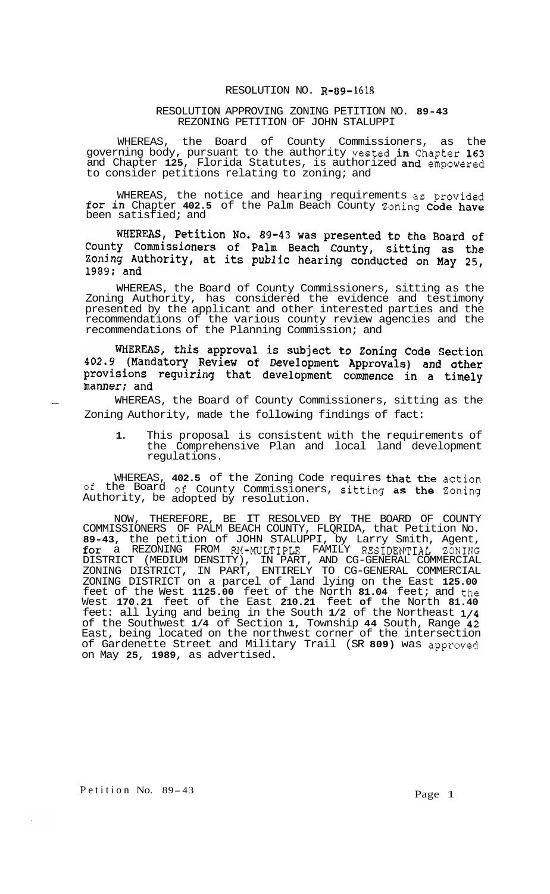## RESOLUTION NO. **R-89-1618**

## RESOLUTION APPROVING ZONING PETITION NO. **89-43**  REZONING PETITION OF JOHN STALUPPI

WHEREAS, the Board of County Commissioners, as the governing body, pursuant to the authority vested in Chapter **163**  and Chapter **125,** Florida Statutes, is authorized and empowered to consider petitions relating to zoning; and

WHEREAS, the notice and hearing requirements as provided for in Chapter **402.5** of the Palm Beach County Zoning Code have been satisfied; and

WHEREAS, Petition No. 89-43 was presented to the Board of County Commissioners of Palm Beach County, sitting as the Zoning Authority, at its public hearing conducted on May 25, 1989; and

WHEREAS, the Board of County Commissioners, sitting as the Zoning Authority, has considered the evidence and testimony presented by the applicant and other interested parties and the recommendations of the various county review agencies and the recommendations of the Planning Commission; and

WHEREAS, this approval is subject to Zoning Code Section 402.9 (Mandatory Review of Development Approvals) and other provisions requiring that development commence in a timely manner; and<br>WHEREAS, the Board of County Commissioners, sitting as the

Zoning Authority, made the following findings of fact:

**1.** This proposal is consistent with the requirements of the Comprehensive Plan and local land development regulations.

WHEREAS, **402.5** of the Zoning Code requires that the action of the Board of County Commissioners, sitting as the Zoning Authority, be adopted by resolution.

NOW, THEREFORE, BE IT RESOLVED BY THE BOARD OF COUNTY COMMISSIONERS OF PALM BEACH COUNTY, FLQRIDA, that Petition No. **89-43,** the petition of JOHN STALUPPI, by Larry Smith, Agent, for a REZONING FROM RM-MULTIPLE FAMILY RESIDENTIAL ZONING DISTRICT (MEDIUM DENSITY), IN PART, AND CG-GENERAL COMMERCIAL ZONING DISTRICT, IN PART, ENTIRELY TO CG-GENERAL COMMERCIAL ZONING DISTRICT on a parcel of land lying on the East **125.00**  feet of the West **1125.00** feet of the North **81.04** feet; and the West **170.21** feet of the East **210.21** feet **of** the North **81.40**  feet: all lying and being in the South **1/2** of the Northeast **1/4**  of the Southwest **1/4** of Section **1,** Township **44** South, Range **42**  East, being located on the northwest corner of the intersection of Gardenette Street and Military Trail (SR **809)** was approved on May **25, 1989,** as advertised.

Petition No. 89-43 Page 1